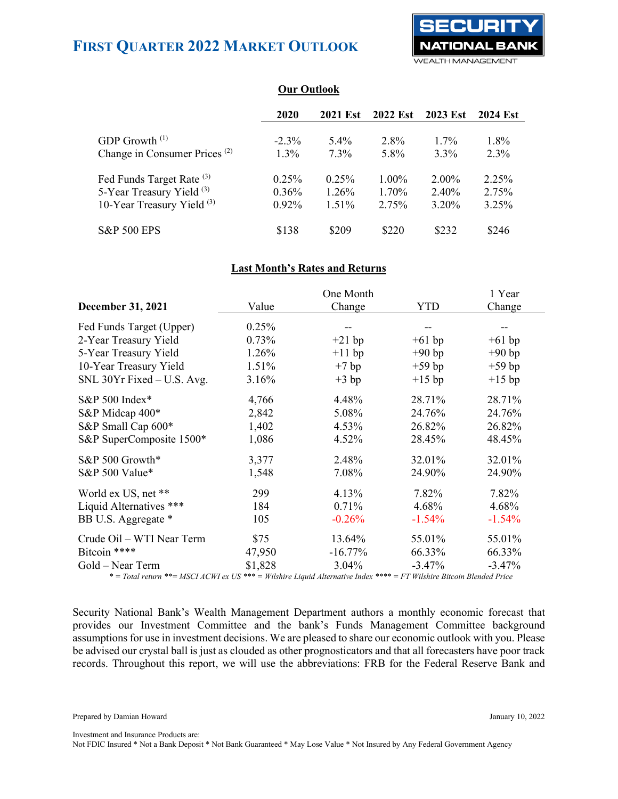

| <b>Our Outlook</b> |
|--------------------|
|                    |

|                                          | 2020     | <b>2021 Est</b> | <b>2022 Est</b> | <b>2023 Est</b> | <b>2024 Est</b> |
|------------------------------------------|----------|-----------------|-----------------|-----------------|-----------------|
| GDP Growth <sup>(1)</sup>                | $-2.3\%$ | $5.4\%$         | 2.8%            | $1.7\%$         | $1.8\%$         |
| Change in Consumer Prices <sup>(2)</sup> | $1.3\%$  | $7.3\%$         | 5.8%            | $3.3\%$         | $2.3\%$         |
| Fed Funds Target Rate <sup>(3)</sup>     | $0.25\%$ | 0.25%           | $1.00\%$        | $2.00\%$        | 2.25%           |
| 5-Year Treasury Yield (3)                | $0.36\%$ | 1.26%           | 1.70%           | 2.40%           | 2.75%           |
| 10-Year Treasury Yield <sup>(3)</sup>    | $0.92\%$ | $1.51\%$        | 2.75%           | 3.20%           | 3.25%           |
| <b>S&amp;P 500 EPS</b>                   | \$138    | \$209           | \$220           | \$232           | \$246           |

### **Last Month's Rates and Returns**

|                                       |                    | 1 Year                      |                              |                                  |
|---------------------------------------|--------------------|-----------------------------|------------------------------|----------------------------------|
| <b>December 31, 2021</b>              | Value              | Change                      | YTD                          | Change                           |
| Fed Funds Target (Upper)              | 0.25%              |                             |                              |                                  |
| 2-Year Treasury Yield                 | 0.73%              | $+21$ bp                    | $+61$ bp                     | $+61$ bp                         |
| 5-Year Treasury Yield                 | 1.26%              | $+11$ bp                    | $+90$ bp                     | $+90$ bp                         |
| 10-Year Treasury Yield                | 1.51%              | $+7$ bp                     | $+59$ bp                     | $+59$ bp                         |
| SNL 30Yr Fixed - U.S. Avg.            | 3.16%              | $+3 bp$                     | $+15$ bp                     | $+15$ bp                         |
| S&P 500 Index*                        | 4,766              | 4.48%                       | 28.71%                       | 28.71%                           |
| S&P Midcap 400*                       | 2,842              | 5.08%                       | 24.76%                       | 24.76%                           |
| S&P Small Cap 600*                    | 1,402              | 4.53%                       | 26.82%                       | 26.82%                           |
| S&P SuperComposite 1500*              | 1,086              | 4.52%                       | 28.45%                       | 48.45%                           |
| S&P 500 Growth*                       | 3,377              | 2.48%                       | 32.01%                       | 32.01%                           |
| S&P 500 Value*                        | 1,548              | 7.08%                       | 24.90%                       | 24.90%                           |
| World ex US, net **                   | 299                | 4.13%                       | 7.82%                        | 7.82%                            |
| Liquid Alternatives ***               | 184                | 0.71%                       | 4.68%                        | 4.68%                            |
| BB U.S. Aggregate *                   | 105                | $-0.26%$                    | $-1.54\%$                    | $-1.54%$                         |
| Crude Oil - WTI Near Term             | \$75               | 13.64%                      | 55.01%                       | 55.01%                           |
| Bitcoin ****                          | 47,950             | $-16.77\%$                  | 66.33%                       | 66.33%                           |
| Gold – Near Term<br>$44.1001$ $10111$ | \$1,828<br>TTC +++ | $3.04\%$<br>مله مله مله مله | $-3.47%$<br>F/TT T T T T T T | $-3.47%$<br>$\cdot$ $\mathbf{D}$ |

*\* = Total return \*\*= MSCI ACWI ex US \*\*\* = Wilshire Liquid Alternative Index \*\*\*\* = FT Wilshire Bitcoin Blended Price*

Security National Bank's Wealth Management Department authors a monthly economic forecast that provides our Investment Committee and the bank's Funds Management Committee background assumptions for use in investment decisions. We are pleased to share our economic outlook with you. Please be advised our crystal ball is just as clouded as other prognosticators and that all forecasters have poor track records. Throughout this report, we will use the abbreviations: FRB for the Federal Reserve Bank and

Prepared by Damian Howard January 10, 2022

Investment and Insurance Products are: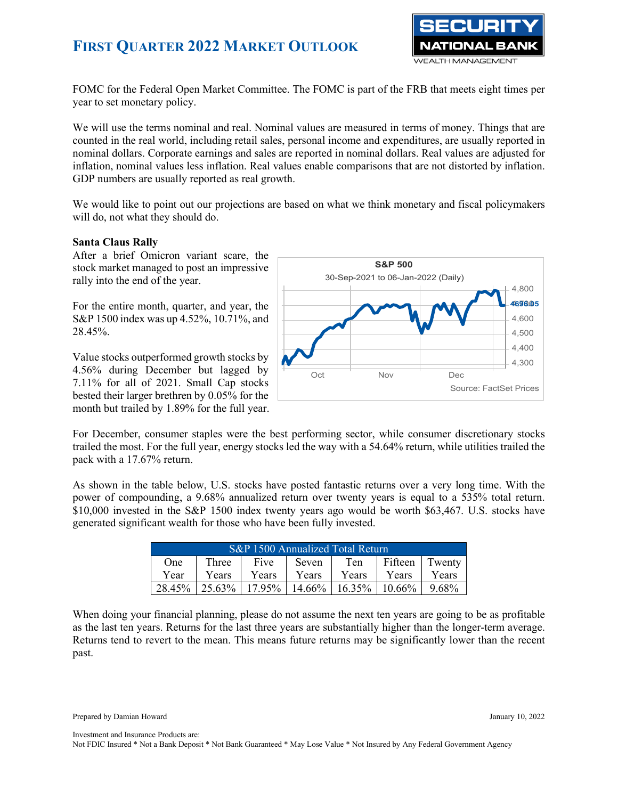

FOMC for the Federal Open Market Committee. The FOMC is part of the FRB that meets eight times per year to set monetary policy.

We will use the terms nominal and real. Nominal values are measured in terms of money. Things that are counted in the real world, including retail sales, personal income and expenditures, are usually reported in nominal dollars. Corporate earnings and sales are reported in nominal dollars. Real values are adjusted for inflation, nominal values less inflation. Real values enable comparisons that are not distorted by inflation. GDP numbers are usually reported as real growth.

We would like to point out our projections are based on what we think monetary and fiscal policymakers will do, not what they should do.

### **Santa Claus Rally**

After a brief Omicron variant scare, the stock market managed to post an impressive rally into the end of the year.

For the entire month, quarter, and year, the S&P 1500 index was up 4.52%, 10.71%, and 28.45%.

Value stocks outperformed growth stocks by 4.56% during December but lagged by 7.11% for all of 2021. Small Cap stocks bested their larger brethren by 0.05% for the month but trailed by 1.89% for the full year.



For December, consumer staples were the best performing sector, while consumer discretionary stocks trailed the most. For the full year, energy stocks led the way with a 54.64% return, while utilities trailed the pack with a 17.67% return.

As shown in the table below, U.S. stocks have posted fantastic returns over a very long time. With the power of compounding, a 9.68% annualized return over twenty years is equal to a 535% total return. \$10,000 invested in the S&P 1500 index twenty years ago would be worth \$63,467. U.S. stocks have generated significant wealth for those who have been fully invested.

| S&P 1500 Annualized Total Return                          |           |        |           |        |        |       |  |
|-----------------------------------------------------------|-----------|--------|-----------|--------|--------|-------|--|
| Fifteen<br>Twenty<br>Five<br>Ten<br>Three<br>Seven<br>One |           |        |           |        |        |       |  |
| Year                                                      | Years     | Years  | Years     | Years  | Years  | Years |  |
| 28.45%                                                    | $25.63\%$ | 17.95% | $14.66\%$ | 16.35% | 10.66% | 9.68% |  |

When doing your financial planning, please do not assume the next ten years are going to be as profitable as the last ten years. Returns for the last three years are substantially higher than the longer-term average. Returns tend to revert to the mean. This means future returns may be significantly lower than the recent past.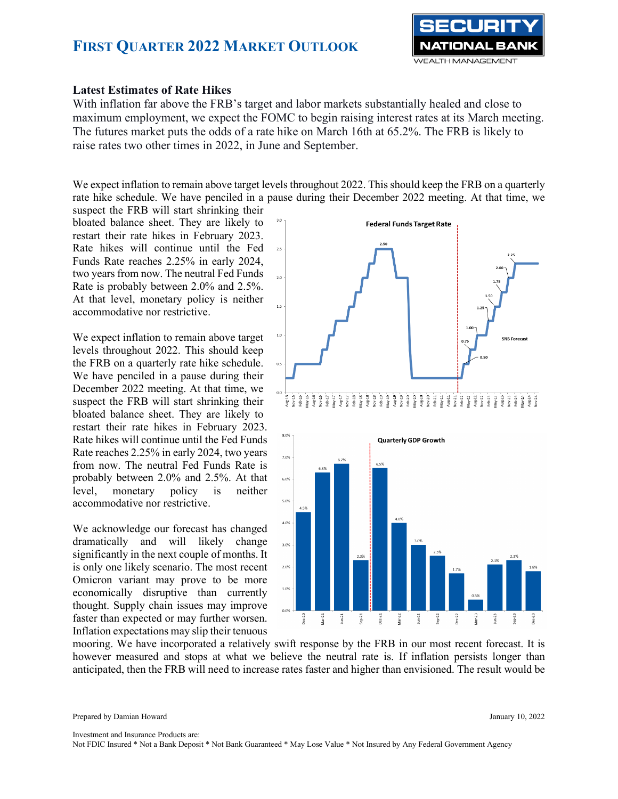

### **Latest Estimates of Rate Hikes**

With inflation far above the FRB's target and labor markets substantially healed and close to maximum employment, we expect the FOMC to begin raising interest rates at its March meeting. The futures market puts the odds of a rate hike on March 16th at 65.2%. The FRB is likely to raise rates two other times in 2022, in June and September.

We expect inflation to remain above target levels throughout 2022. This should keep the FRB on a quarterly rate hike schedule. We have penciled in a pause during their December 2022 meeting. At that time, we

suspect the FRB will start shrinking their bloated balance sheet. They are likely to restart their rate hikes in February 2023. Rate hikes will continue until the Fed Funds Rate reaches 2.25% in early 2024, two years from now. The neutral Fed Funds Rate is probably between 2.0% and 2.5%. At that level, monetary policy is neither accommodative nor restrictive.

We expect inflation to remain above target levels throughout 2022. This should keep the FRB on a quarterly rate hike schedule. We have penciled in a pause during their December 2022 meeting. At that time, we suspect the FRB will start shrinking their bloated balance sheet. They are likely to restart their rate hikes in February 2023. Rate hikes will continue until the Fed Funds Rate reaches 2.25% in early 2024, two years from now. The neutral Fed Funds Rate is probably between 2.0% and 2.5%. At that level, monetary policy is neither accommodative nor restrictive.

We acknowledge our forecast has changed dramatically and will likely change significantly in the next couple of months. It is only one likely scenario. The most recent Omicron variant may prove to be more economically disruptive than currently thought. Supply chain issues may improve faster than expected or may further worsen. Inflation expectations may slip their tenuous



mooring. We have incorporated a relatively swift response by the FRB in our most recent forecast. It is however measured and stops at what we believe the neutral rate is. If inflation persists longer than anticipated, then the FRB will need to increase rates faster and higher than envisioned. The result would be

Prepared by Damian Howard January 10, 2022

Investment and Insurance Products are: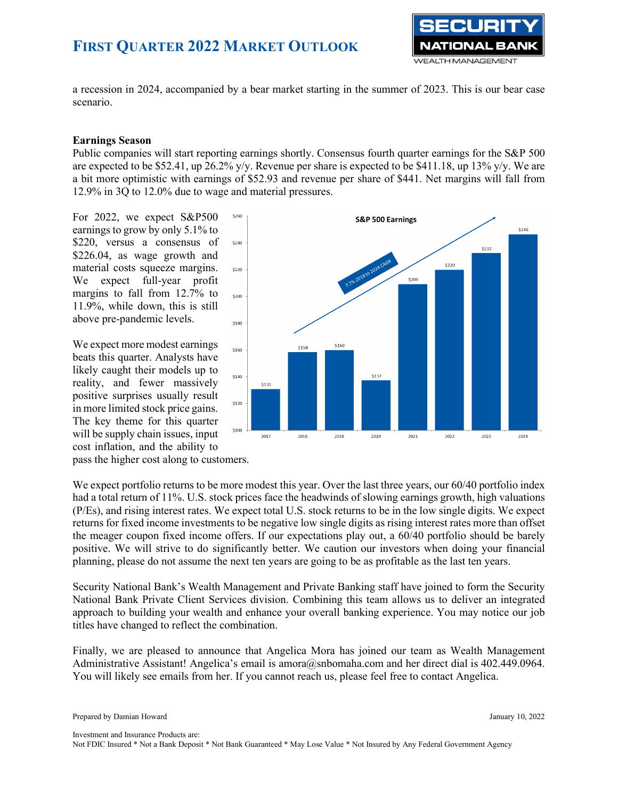

a recession in 2024, accompanied by a bear market starting in the summer of 2023. This is our bear case scenario.

### **Earnings Season**

Public companies will start reporting earnings shortly. Consensus fourth quarter earnings for the S&P 500 are expected to be \$52.41, up 26.2% y/y. Revenue per share is expected to be \$411.18, up 13% y/y. We are a bit more optimistic with earnings of \$52.93 and revenue per share of \$441. Net margins will fall from 12.9% in 3Q to 12.0% due to wage and material pressures.

For 2022, we expect S&P500 earnings to grow by only 5.1% to \$220, versus a consensus of \$226.04, as wage growth and material costs squeeze margins. We expect full-year profit margins to fall from 12.7% to 11.9%, while down, this is still above pre-pandemic levels.

We expect more modest earnings beats this quarter. Analysts have likely caught their models up to reality, and fewer massively positive surprises usually result in more limited stock price gains. The key theme for this quarter will be supply chain issues, input cost inflation, and the ability to



pass the higher cost along to customers.

We expect portfolio returns to be more modest this year. Over the last three years, our 60/40 portfolio index had a total return of 11%. U.S. stock prices face the headwinds of slowing earnings growth, high valuations (P/Es), and rising interest rates. We expect total U.S. stock returns to be in the low single digits. We expect returns for fixed income investments to be negative low single digits as rising interest rates more than offset the meager coupon fixed income offers. If our expectations play out, a 60/40 portfolio should be barely positive. We will strive to do significantly better. We caution our investors when doing your financial planning, please do not assume the next ten years are going to be as profitable as the last ten years.

Security National Bank's Wealth Management and Private Banking staff have joined to form the Security National Bank Private Client Services division. Combining this team allows us to deliver an integrated approach to building your wealth and enhance your overall banking experience. You may notice our job titles have changed to reflect the combination.

Finally, we are pleased to announce that Angelica Mora has joined our team as Wealth Management Administrative Assistant! Angelica's email is [amora@snbomaha.com](mailto:amora@snbomaha.com) and her direct dial is 402.449.0964. You will likely see emails from her. If you cannot reach us, please feel free to contact Angelica.

Investment and Insurance Products are: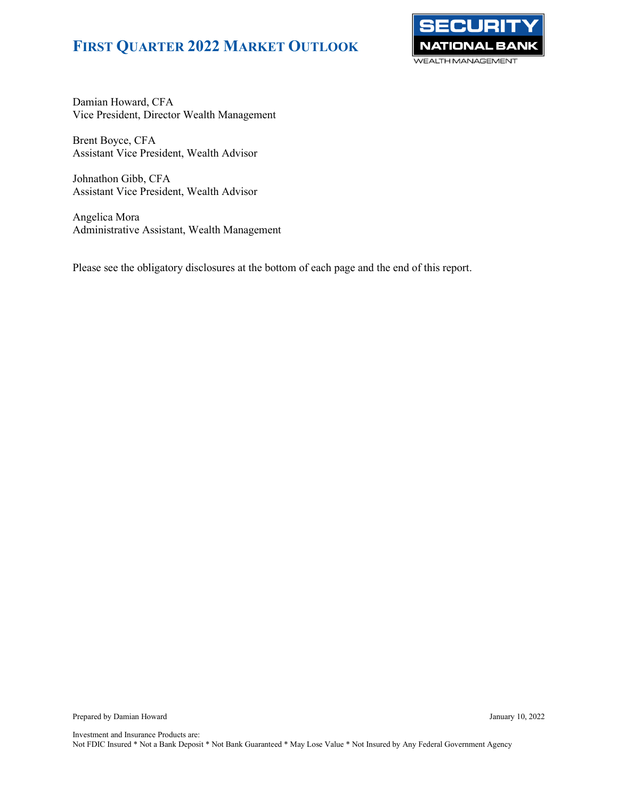

Damian Howard, CFA Vice President, Director Wealth Management

Brent Boyce, CFA Assistant Vice President, Wealth Advisor

Johnathon Gibb, CFA Assistant Vice President, Wealth Advisor

Angelica Mora Administrative Assistant, Wealth Management

Please see the obligatory disclosures at the bottom of each page and the end of this report.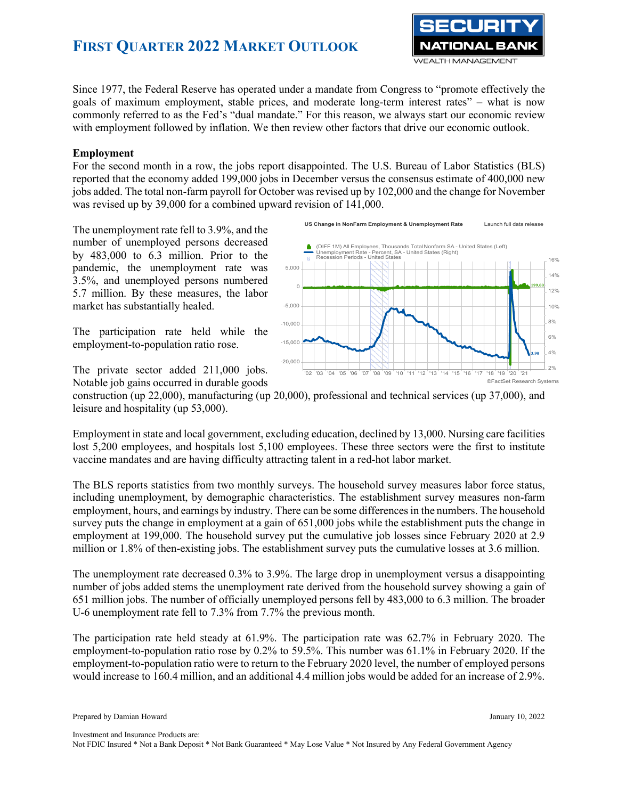

Since 1977, the Federal Reserve has operated under a mandate from Congress to "promote effectively the goals of maximum employment, stable prices, and moderate long-term interest rates" – what is now commonly referred to as the Fed's "dual mandate." For this reason, we always start our economic review with employment followed by inflation. We then review other factors that drive our economic outlook.

### **Employment**

For the second month in a row, the jobs report disappointed. The U.S. Bureau of Labor Statistics (BLS) reported that the economy added 199,000 jobs in December versus the consensus estimate of 400,000 new jobs added. The total non-farm payroll for October was revised up by 102,000 and the change for November was revised up by 39,000 for a combined upward revision of 141,000.

The unemployment rate fell to 3.9%, and the number of unemployed persons decreased by 483,000 to 6.3 million. Prior to the pandemic, the unemployment rate was 3.5%, and unemployed persons numbered 5.7 million. By these measures, the labor market has substantially healed.

The participation rate held while the employment-to-population ratio rose.

The private sector added 211,000 jobs. Notable job gains occurred in durable goods



construction (up 22,000), manufacturing (up 20,000), professional and technical services (up 37,000), and leisure and hospitality (up 53,000).

Employment in state and local government, excluding education, declined by 13,000. Nursing care facilities lost 5,200 employees, and hospitals lost 5,100 employees. These three sectors were the first to institute vaccine mandates and are having difficulty attracting talent in a red-hot labor market.

The BLS reports statistics from two monthly surveys. The household survey measures labor force status, including unemployment, by demographic characteristics. The establishment survey measures non-farm employment, hours, and earnings by industry. There can be some differences in the numbers. The household survey puts the change in employment at a gain of 651,000 jobs while the establishment puts the change in employment at 199,000. The household survey put the cumulative job losses since February 2020 at 2.9 million or 1.8% of then-existing jobs. The establishment survey puts the cumulative losses at 3.6 million.

The unemployment rate decreased 0.3% to 3.9%. The large drop in unemployment versus a disappointing number of jobs added stems the unemployment rate derived from the household survey showing a gain of 651 million jobs. The number of officially unemployed persons fell by 483,000 to 6.3 million. The broader U-6 unemployment rate fell to 7.3% from 7.7% the previous month.

The participation rate held steady at 61.9%. The participation rate was 62.7% in February 2020. The employment-to-population ratio rose by 0.2% to 59.5%. This number was 61.1% in February 2020. If the employment-to-population ratio were to return to the February 2020 level, the number of employed persons would increase to 160.4 million, and an additional 4.4 million jobs would be added for an increase of 2.9%.

Investment and Insurance Products are: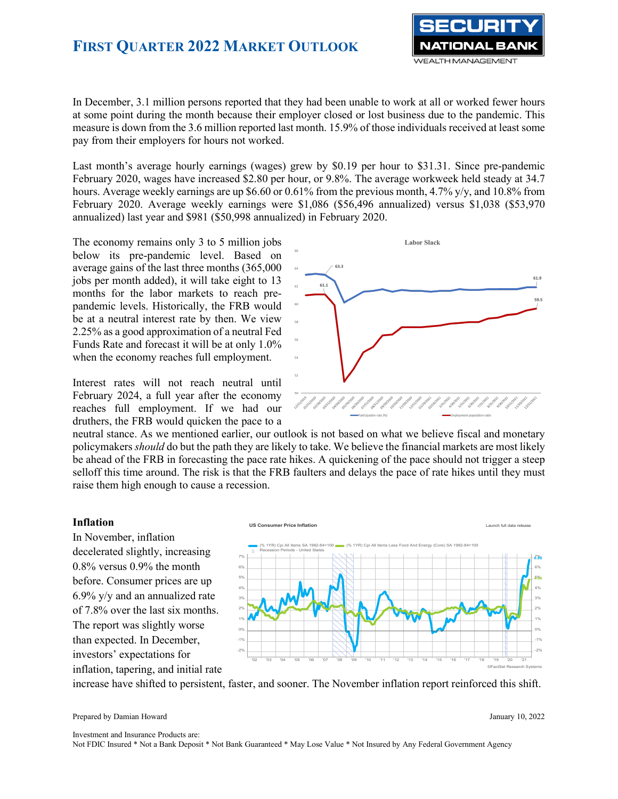

In December, 3.1 million persons reported that they had been unable to work at all or worked fewer hours at some point during the month because their employer closed or lost business due to the pandemic. This measure is down from the 3.6 million reported last month. 15.9% of those individuals received at least some pay from their employers for hours not worked.

Last month's average hourly earnings (wages) grew by \$0.19 per hour to \$31.31. Since pre-pandemic February 2020, wages have increased \$2.80 per hour, or 9.8%. The average workweek held steady at 34.7 hours. Average weekly earnings are up \$6.60 or 0.61% from the previous month, 4.7% y/y, and 10.8% from February 2020. Average weekly earnings were \$1,086 (\$56,496 annualized) versus \$1,038 (\$53,970 annualized) last year and \$981 (\$50,998 annualized) in February 2020.

The economy remains only 3 to 5 million jobs below its pre-pandemic level. Based on average gains of the last three months (365,000 jobs per month added), it will take eight to 13 months for the labor markets to reach prepandemic levels. Historically, the FRB would be at a neutral interest rate by then. We view 2.25% as a good approximation of a neutral Fed Funds Rate and forecast it will be at only 1.0% when the economy reaches full employment.

Interest rates will not reach neutral until February 2024, a full year after the economy reaches full employment. If we had our druthers, the FRB would quicken the pace to a

**Labor Slack** 50 R

neutral stance. As we mentioned earlier, our outlook is not based on what we believe fiscal and monetary policymakers *should* do but the path they are likely to take. We believe the financial markets are most likely be ahead of the FRB in forecasting the pace rate hikes. A quickening of the pace should not trigger a steep selloff this time around. The risk is that the FRB faulters and delays the pace of rate hikes until they must raise them high enough to cause a recession.

#### **Inflation**

In November, inflation decelerated slightly, increasing 0.8% versus 0.9% the month before. Consumer prices are up 6.9% y/y and an annualized rate of 7.8% over the last six months. The report was slightly worse than expected. In December, investors' expectations for inflation, tapering, and initial rate



increase have shifted to persistent, faster, and sooner. The November inflation report reinforced this shift.

Prepared by Damian Howard January 10, 2022

Investment and Insurance Products are: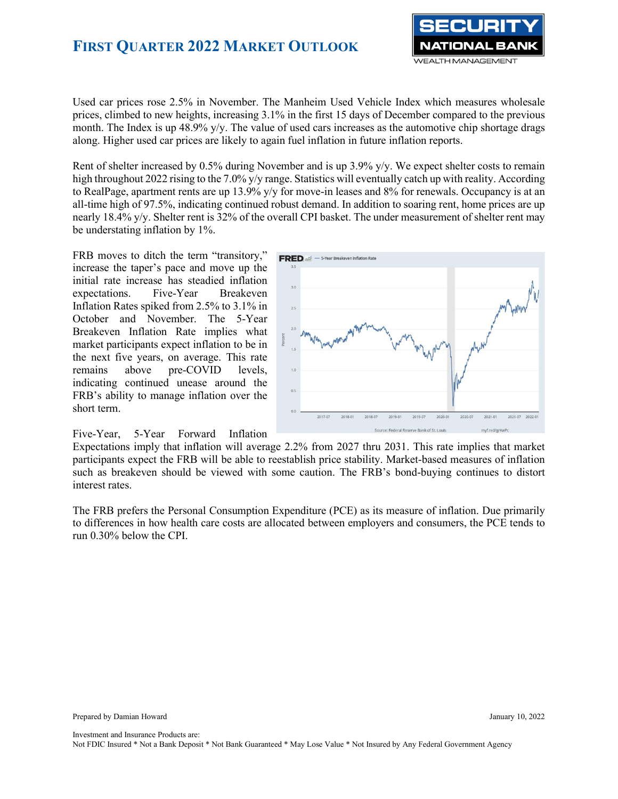

Used car prices rose 2.5% in November. The Manheim Used Vehicle Index which measures wholesale prices, climbed to new heights, increasing 3.1% in the first 15 days of December compared to the previous month. The Index is up 48.9% y/y. The value of used cars increases as the automotive chip shortage drags along. Higher used car prices are likely to again fuel inflation in future inflation reports.

Rent of shelter increased by 0.5% during November and is up 3.9% y/y. We expect shelter costs to remain high throughout 2022 rising to the 7.0% y/y range. Statistics will eventually catch up with reality. According to RealPage, apartment rents are up 13.9% y/y for move-in leases and 8% for renewals. Occupancy is at an all-time high of 97.5%, indicating continued robust demand. In addition to soaring rent, home prices are up nearly 18.4% y/y. Shelter rent is 32% of the overall CPI basket. The under measurement of shelter rent may be understating inflation by 1%.

FRB moves to ditch the term "transitory," increase the taper's pace and move up the initial rate increase has steadied inflation expectations. Five-Year Breakeven Inflation Rates spiked from 2.5% to 3.1% in October and November. The 5-Year Breakeven Inflation Rate implies what market participants expect inflation to be in the next five years, on average. This rate remains above pre-COVID levels, indicating continued unease around the FRB's ability to manage inflation over the short term.

Five-Year, 5-Year Forward Inflation



Expectations imply that inflation will average 2.2% from 2027 thru 2031. This rate implies that market participants expect the FRB will be able to reestablish price stability. Market-based measures of inflation such as breakeven should be viewed with some caution. The FRB's bond-buying continues to distort interest rates.

The FRB prefers the Personal Consumption Expenditure (PCE) as its measure of inflation. Due primarily to differences in how health care costs are allocated between employers and consumers, the PCE tends to run 0.30% below the CPI.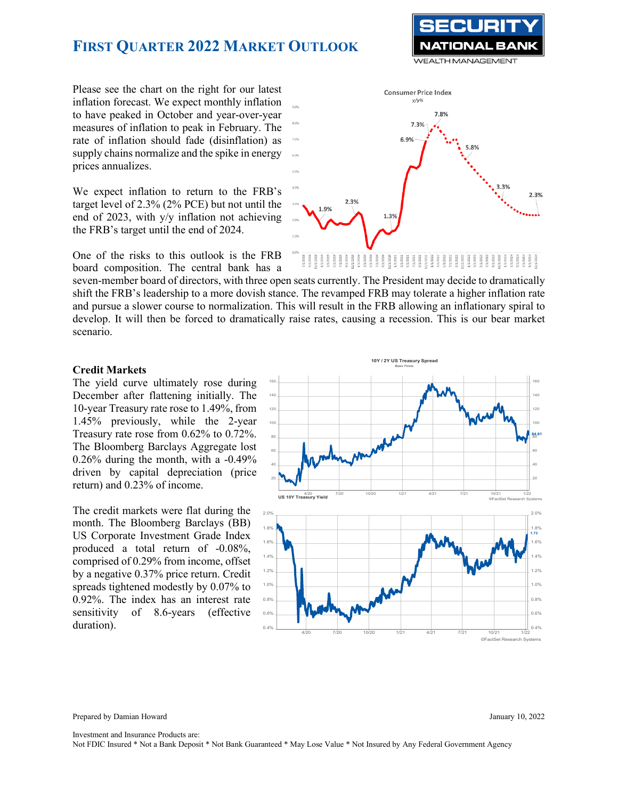Please see the chart on the right for our latest inflation forecast. We expect monthly inflation to have peaked in October and year-over-year measures of inflation to peak in February. The rate of inflation should fade (disinflation) as supply chains normalize and the spike in energy prices annualizes.

We expect inflation to return to the FRB's target level of 2.3% (2% PCE) but not until the end of 2023, with y/y inflation not achieving the FRB's target until the end of 2024.

One of the risks to this outlook is the FRB board composition. The central bank has a

seven-member board of directors, with three open seats currently. The President may decide to dramatically shift the FRB's leadership to a more dovish stance. The revamped FRB may tolerate a higher inflation rate and pursue a slower course to normalization. This will result in the FRB allowing an inflationary spiral to develop. It will then be forced to dramatically raise rates, causing a recession. This is our bear market scenario.

#### **Credit Markets**

The yield curve ultimately rose during December after flattening initially. The 10-year Treasury rate rose to 1.49%, from 1.45% previously, while the 2-year Treasury rate rose from 0.62% to 0.72%. The Bloomberg Barclays Aggregate lost 0.26% during the month, with a -0.49% driven by capital depreciation (price return) and 0.23% of income.

The credit markets were flat during the month. The Bloomberg Barclays (BB) US Corporate Investment Grade Index produced a total return of -0.08%, comprised of 0.29% from income, offset by a negative 0.37% price return. Credit spreads tightened modestly by 0.07% to 0.92%. The index has an interest rate sensitivity of 8.6-years (effective



Prepared by Damian Howard January 10, 2022

Investment and Insurance Products are:



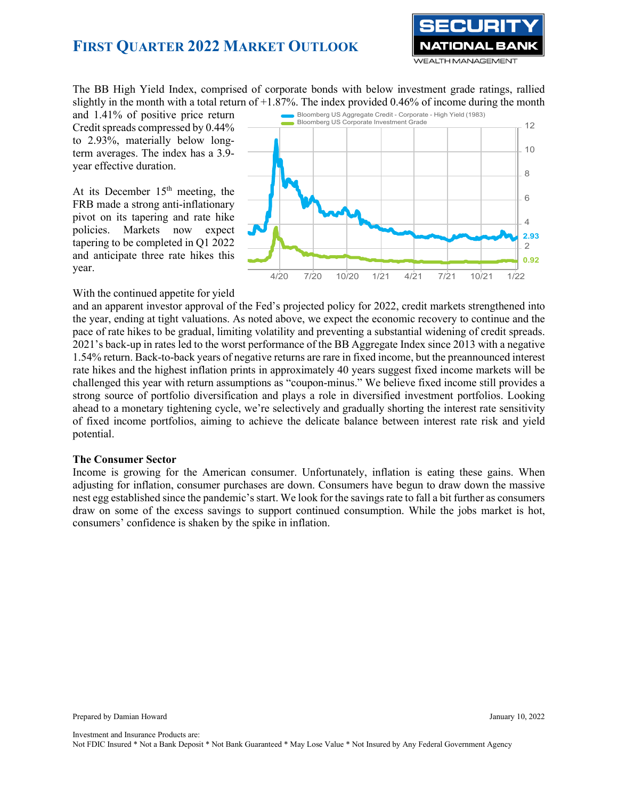

The BB High Yield Index, comprised of corporate bonds with below investment grade ratings, rallied slightly in the month with a total return of  $+1.87\%$ . The index provided 0.46% of income during the month

and 1.41% of positive price return Credit spreads compressed by 0.44% to 2.93%, materially below longterm averages. The index has a 3.9 year effective duration.

At its December  $15<sup>th</sup>$  meeting, the FRB made a strong anti-inflationary pivot on its tapering and rate hike policies. Markets now expect tapering to be completed in Q1 2022 and anticipate three rate hikes this year.



With the continued appetite for yield

and an apparent investor approval of the Fed's projected policy for 2022, credit markets strengthened into the year, ending at tight valuations. As noted above, we expect the economic recovery to continue and the pace of rate hikes to be gradual, limiting volatility and preventing a substantial widening of credit spreads. 2021's back-up in rates led to the worst performance of the BB Aggregate Index since 2013 with a negative 1.54% return. Back-to-back years of negative returns are rare in fixed income, but the preannounced interest rate hikes and the highest inflation prints in approximately 40 years suggest fixed income markets will be challenged this year with return assumptions as "coupon-minus." We believe fixed income still provides a strong source of portfolio diversification and plays a role in diversified investment portfolios. Looking ahead to a monetary tightening cycle, we're selectively and gradually shorting the interest rate sensitivity of fixed income portfolios, aiming to achieve the delicate balance between interest rate risk and yield potential.

#### **The Consumer Sector**

Income is growing for the American consumer. Unfortunately, inflation is eating these gains. When adjusting for inflation, consumer purchases are down. Consumers have begun to draw down the massive nest egg established since the pandemic's start. We look for the savings rate to fall a bit further as consumers draw on some of the excess savings to support continued consumption. While the jobs market is hot, consumers' confidence is shaken by the spike in inflation.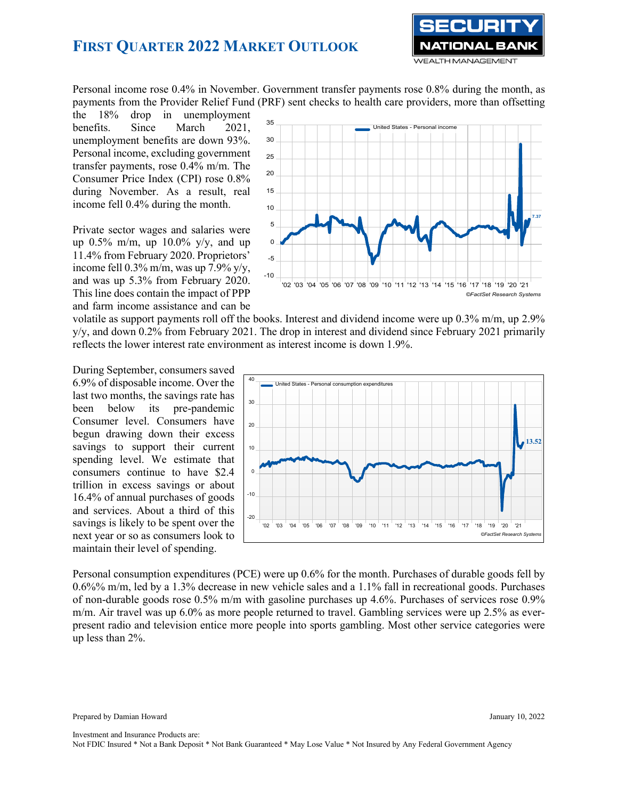

Personal income rose 0.4% in November. Government transfer payments rose 0.8% during the month, as payments from the Provider Relief Fund (PRF) sent checks to health care providers, more than offsetting

the 18% drop in unemployment benefits. Since March 2021, unemployment benefits are down 93%. Personal income, excluding government transfer payments, rose 0.4% m/m. The Consumer Price Index (CPI) rose 0.8% during November. As a result, real income fell 0.4% during the month.

Private sector wages and salaries were up  $0.5\%$  m/m, up  $10.0\%$  y/y, and up 11.4% from February 2020. Proprietors' income fell 0.3% m/m, was up 7.9% y/y, and was up 5.3% from February 2020. This line does contain the impact of PPP and farm income assistance and can be



volatile as support payments roll off the books. Interest and dividend income were up 0.3% m/m, up 2.9% y/y, and down 0.2% from February 2021. The drop in interest and dividend since February 2021 primarily reflects the lower interest rate environment as interest income is down 1.9%.

During September, consumers saved 6.9% of disposable income. Over the last two months, the savings rate has been below its pre-pandemic Consumer level. Consumers have begun drawing down their excess savings to support their current spending level. We estimate that consumers continue to have \$2.4 trillion in excess savings or about 16.4% of annual purchases of goods and services. About a third of this savings is likely to be spent over the next year or so as consumers look to maintain their level of spending.



Personal consumption expenditures (PCE) were up 0.6% for the month. Purchases of durable goods fell by 0.6%% m/m, led by a 1.3% decrease in new vehicle sales and a 1.1% fall in recreational goods. Purchases of non-durable goods rose 0.5% m/m with gasoline purchases up 4.6%. Purchases of services rose 0.9% m/m. Air travel was up 6.0% as more people returned to travel. Gambling services were up 2.5% as everpresent radio and television entice more people into sports gambling. Most other service categories were up less than 2%.

Prepared by Damian Howard January 10, 2022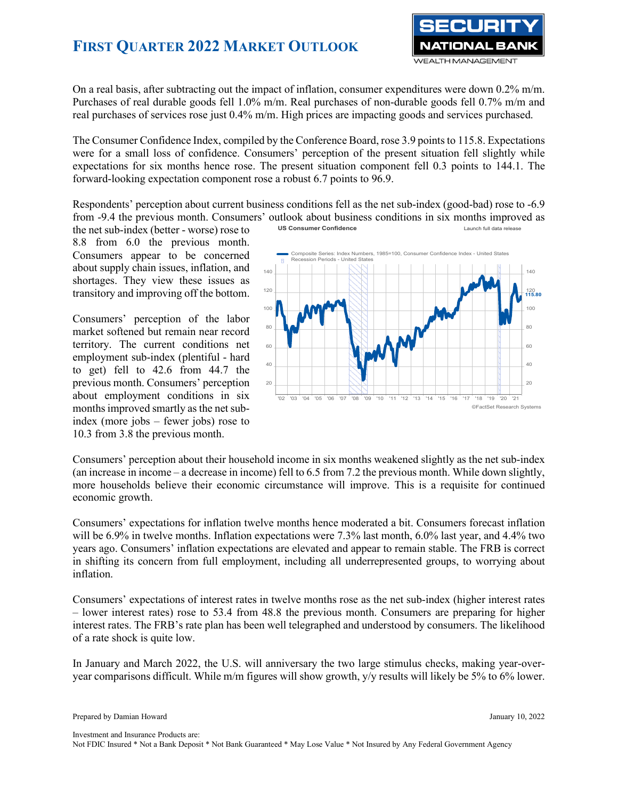

On a real basis, after subtracting out the impact of inflation, consumer expenditures were down 0.2% m/m. Purchases of real durable goods fell 1.0% m/m. Real purchases of non-durable goods fell 0.7% m/m and real purchases of services rose just 0.4% m/m. High prices are impacting goods and services purchased.

The Consumer Confidence Index, compiled by the Conference Board, rose 3.9 points to 115.8. Expectations were for a small loss of confidence. Consumers' perception of the present situation fell slightly while expectations for six months hence rose. The present situation component fell 0.3 points to 144.1. The forward-looking expectation component rose a robust 6.7 points to 96.9.

Respondents' perception about current business conditions fell as the net sub-index (good-bad) rose to -6.9 from -9.4 the previous month. Consumers' outlook about business conditions in six months improved as **US** Consumer Confidence **Launch full data release** Launch full data release

the net sub-index (better - worse) rose to 8.8 from 6.0 the previous month. Consumers appear to be concerned about supply chain issues, inflation, and shortages. They view these issues as transitory and improving off the bottom.

Consumers' perception of the labor market softened but remain near record territory. The current conditions net employment sub-index (plentiful - hard to get) fell to 42.6 from 44.7 the previous month. Consumers' perception about employment conditions in six months improved smartly as the net subindex (more jobs – fewer jobs) rose to 10.3 from 3.8 the previous month.



Consumers' perception about their household income in six months weakened slightly as the net sub-index (an increase in income – a decrease in income) fell to 6.5 from 7.2 the previous month. While down slightly, more households believe their economic circumstance will improve. This is a requisite for continued economic growth.

Consumers' expectations for inflation twelve months hence moderated a bit. Consumers forecast inflation will be 6.9% in twelve months. Inflation expectations were 7.3% last month, 6.0% last year, and 4.4% two years ago. Consumers' inflation expectations are elevated and appear to remain stable. The FRB is correct in shifting its concern from full employment, including all underrepresented groups, to worrying about inflation.

Consumers' expectations of interest rates in twelve months rose as the net sub-index (higher interest rates – lower interest rates) rose to 53.4 from 48.8 the previous month. Consumers are preparing for higher interest rates. The FRB's rate plan has been well telegraphed and understood by consumers. The likelihood of a rate shock is quite low.

In January and March 2022, the U.S. will anniversary the two large stimulus checks, making year-overyear comparisons difficult. While m/m figures will show growth, y/y results will likely be 5% to 6% lower.

Investment and Insurance Products are: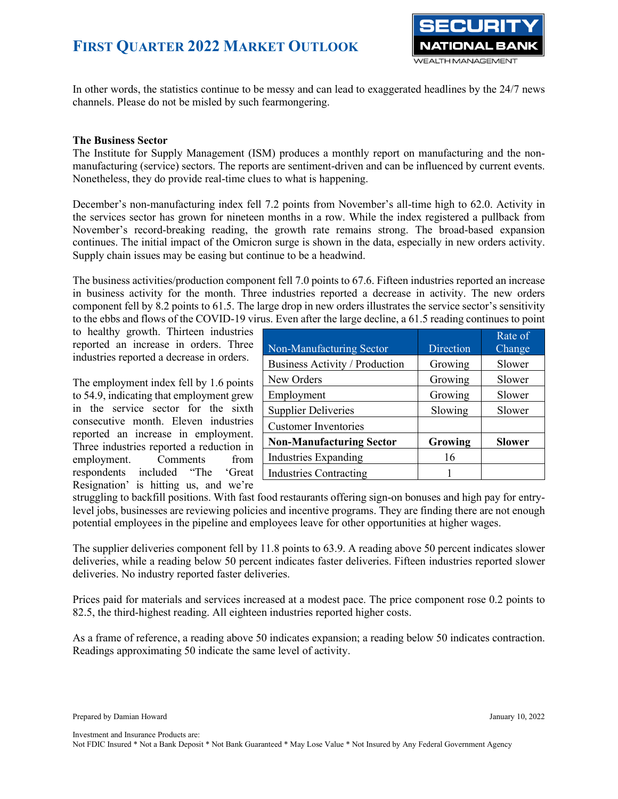

In other words, the statistics continue to be messy and can lead to exaggerated headlines by the 24/7 news channels. Please do not be misled by such fearmongering.

### **The Business Sector**

The Institute for Supply Management (ISM) produces a monthly report on manufacturing and the nonmanufacturing (service) sectors. The reports are sentiment-driven and can be influenced by current events. Nonetheless, they do provide real-time clues to what is happening.

December's non-manufacturing index fell 7.2 points from November's all-time high to 62.0. Activity in the services sector has grown for nineteen months in a row. While the index registered a pullback from November's record-breaking reading, the growth rate remains strong. The broad-based expansion continues. The initial impact of the Omicron surge is shown in the data, especially in new orders activity. Supply chain issues may be easing but continue to be a headwind.

The business activities/production component fell 7.0 points to 67.6. Fifteen industries reported an increase in business activity for the month. Three industries reported a decrease in activity. The new orders component fell by 8.2 points to 61.5. The large drop in new orders illustrates the service sector's sensitivity to the ebbs and flows of the COVID-19 virus. Even after the large decline, a 61.5 reading continues to point

to healthy growth. Thirteen industries reported an increase in orders. Three industries reported a decrease in orders.

The employment index fell by 1.6 points to 54.9, indicating that employment grew in the service sector for the sixth consecutive month. Eleven industries reported an increase in employment. Three industries reported a reduction in employment. Comments from respondents included "The 'Great Resignation' is hitting us, and we're

|                                 |           | Rate of       |
|---------------------------------|-----------|---------------|
| Non-Manufacturing Sector        | Direction | Change        |
| Business Activity / Production  | Growing   | Slower        |
| New Orders                      | Growing   | Slower        |
| Employment                      | Growing   | Slower        |
| <b>Supplier Deliveries</b>      | Slowing   | Slower        |
| <b>Customer Inventories</b>     |           |               |
| <b>Non-Manufacturing Sector</b> | Growing   | <b>Slower</b> |
| Industries Expanding            | 16        |               |
| <b>Industries Contracting</b>   |           |               |

struggling to backfill positions. With fast food restaurants offering sign-on bonuses and high pay for entrylevel jobs, businesses are reviewing policies and incentive programs. They are finding there are not enough potential employees in the pipeline and employees leave for other opportunities at higher wages.

The supplier deliveries component fell by 11.8 points to 63.9. A reading above 50 percent indicates slower deliveries, while a reading below 50 percent indicates faster deliveries. Fifteen industries reported slower deliveries. No industry reported faster deliveries.

Prices paid for materials and services increased at a modest pace. The price component rose 0.2 points to 82.5, the third-highest reading. All eighteen industries reported higher costs.

As a frame of reference, a reading above 50 indicates expansion; a reading below 50 indicates contraction. Readings approximating 50 indicate the same level of activity.

Investment and Insurance Products are: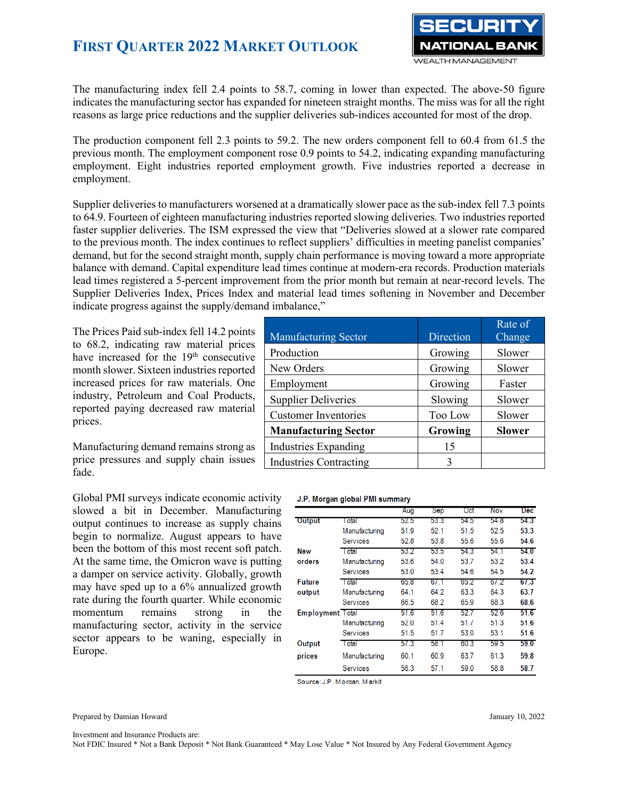

The manufacturing index fell 2.4 points to 58.7, coming in lower than expected. The above-50 figure indicates the manufacturing sector has expanded for nineteen straight months. The miss was for all the right reasons as large price reductions and the supplier deliveries sub-indices accounted for most of the drop.

The production component fell 2.3 points to 59.2. The new orders component fell to 60.4 from 61.5 the previous month. The employment component rose 0.9 points to 54.2, indicating expanding manufacturing employment. Eight industries reported employment growth. Five industries reported a decrease in employment.

Supplier deliveries to manufacturers worsened at a dramatically slower pace as the sub-index fell 7.3 points to 64.9. Fourteen of eighteen manufacturing industries reported slowing deliveries. Two industries reported faster supplier deliveries. The ISM expressed the view that "Deliveries slowed at a slower rate compared to the previous month. The index continues to reflect suppliers' difficulties in meeting panelist companies' demand, but for the second straight month, supply chain performance is moving toward a more appropriate balance with demand. Capital expenditure lead times continue at modern-era records. Production materials lead times registered a 5-percent improvement from the prior month but remain at near-record levels. The Supplier Deliveries Index, Prices Index and material lead times softening in November and December indicate progress against the supply/demand imbalance,"

The Prices Paid sub-index fell 14.2 points to 68.2, indicating raw material prices have increased for the 19<sup>th</sup> consecutive month slower. Sixteen industries reported increased prices for raw materials. One industry, Petroleum and Coal Products, reported paying decreased raw material prices.

Manufacturing demand remains strong as price pressures and supply chain issues fade.

Global PMI surveys indicate economic activity slowed a bit in December. Manufacturing output continues to increase as supply chains begin to normalize. August appears to have been the bottom of this most recent soft patch. At the same time, the Omicron wave is putting a damper on service activity. Globally, growth may have sped up to a 6% annualized growth rate during the fourth quarter. While economic momentum remains strong in the manufacturing sector, activity in the service sector appears to be waning, especially in Europe.

|                               |           | Rate of       |
|-------------------------------|-----------|---------------|
| <b>Manufacturing Sector</b>   | Direction | Change        |
| Production                    | Growing   | Slower        |
| New Orders                    | Growing   | Slower        |
| Employment                    | Growing   | Faster        |
| <b>Supplier Deliveries</b>    | Slowing   | Slower        |
| <b>Customer Inventories</b>   | Too Low   | Slower        |
| <b>Manufacturing Sector</b>   | Growing   | <b>Slower</b> |
| Industries Expanding          | 15        |               |
| <b>Industries Contracting</b> | 3         |               |

#### J.P. Morgan global PMI summary

|                         |                 | Aug  | Sep  | Oct  | <b>Nov</b> | <b>Dec</b> |
|-------------------------|-----------------|------|------|------|------------|------------|
| Output                  | l otal          | 52.5 | 53.3 | 54.5 | 54.8       | 54.3       |
|                         | Manufacturing   | 51.9 | 52.1 | 51.5 | 52.5       | 53.3       |
|                         | <b>Services</b> | 52.8 | 53.8 | 55.6 | 55.6       | 54.6       |
| <b>New</b>              | I otal          | 53.2 | 53.5 | 54.3 | 54.1       | 54.0       |
| orders                  | Manufacturing   | 53.6 | 54.0 | 53.7 | 53.2       | 53.4       |
|                         | <b>Services</b> | 53.0 | 53.4 | 54.6 | 54.5       | 54.2       |
| <b>Future</b>           | l otal          | 65.8 | 67.1 | 65.2 | 6/2        | 67.3       |
| output                  | Manufacturing   | 64.1 | 64.2 | 63.3 | 64.3       | 63.7       |
|                         | <b>Services</b> | 66.5 | 68.2 | 65.9 | 68.3       | 68.6       |
| <b>Employment Total</b> |                 | 51.6 | 51.6 | 52.7 | 52.6       | 51.6       |
|                         | Manutacturing   | 52.0 | 51.4 | 51.7 | 51.3       | 51.6       |
|                         | <b>Services</b> | 51.5 | 51.7 | 53.0 | 53.1       | 51.6       |
| Output                  | Total           | 57.3 | 58.1 | 60.3 | 59.5       | 59.0       |
| prices                  | Manufacturing   | 60.1 | 60.9 | 63.7 | 61.3       | 59.8       |
|                         | <b>Services</b> | 56.3 | 57.1 | 59.0 | 58.8       | 58.7       |

Source: J.P. Moraan. Markit

Prepared by Damian Howard January 10, 2022

Investment and Insurance Products are: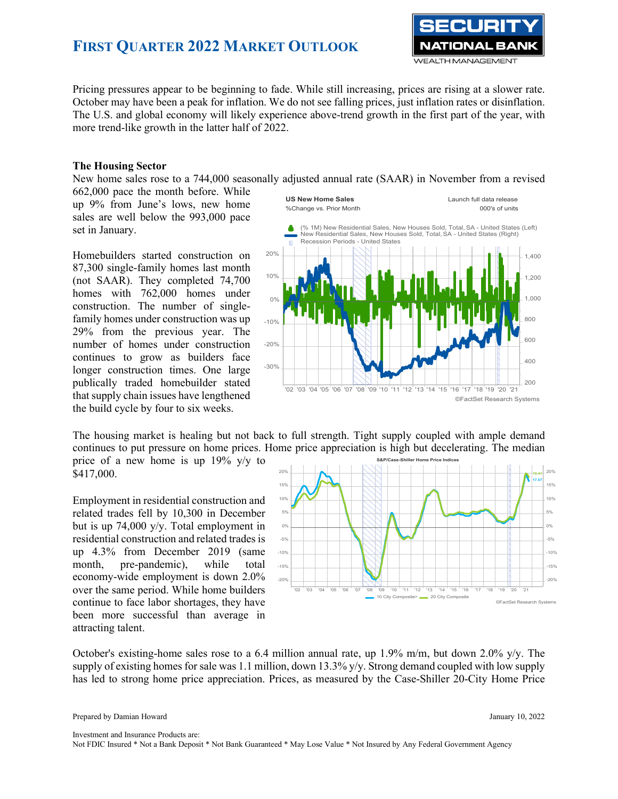

Pricing pressures appear to be beginning to fade. While still increasing, prices are rising at a slower rate. October may have been a peak for inflation. We do not see falling prices, just inflation rates or disinflation. The U.S. and global economy will likely experience above-trend growth in the first part of the year, with more trend-like growth in the latter half of 2022.

#### **The Housing Sector**

New home sales rose to a 744,000 seasonally adjusted annual rate (SAAR) in November from a revised

662,000 pace the month before. While up 9% from June's lows, new home sales are well below the 993,000 pace set in January.

Homebuilders started construction on 87,300 single-family homes last month (not SAAR). They completed 74,700 homes with 762,000 homes under construction. The number of singlefamily homes under construction was up 29% from the previous year. The number of homes under construction continues to grow as builders face longer construction times. One large publically traded homebuilder stated that supply chain issues have lengthened the build cycle by four to six weeks.



The housing market is healing but not back to full strength. Tight supply coupled with ample demand continues to put pressure on home prices. Home price appreciation is high but decelerating. The median

price of a new home is up 19% y/y to \$417,000.

Employment in residential construction and related trades fell by 10,300 in December but is up 74,000 y/y. Total employment in residential construction and related trades is up 4.3% from December 2019 (same month, pre-pandemic), while total economy-wide employment is down 2.0% over the same period. While home builders continue to face labor shortages, they have been more successful than average in attracting talent.



October's existing-home sales rose to a 6.4 million annual rate, up 1.9% m/m, but down 2.0% y/y. The supply of existing homes for sale was 1.1 million, down 13.3% y/y. Strong demand coupled with low supply has led to strong home price appreciation. Prices, as measured by the Case-Shiller 20-City Home Price

Investment and Insurance Products are: